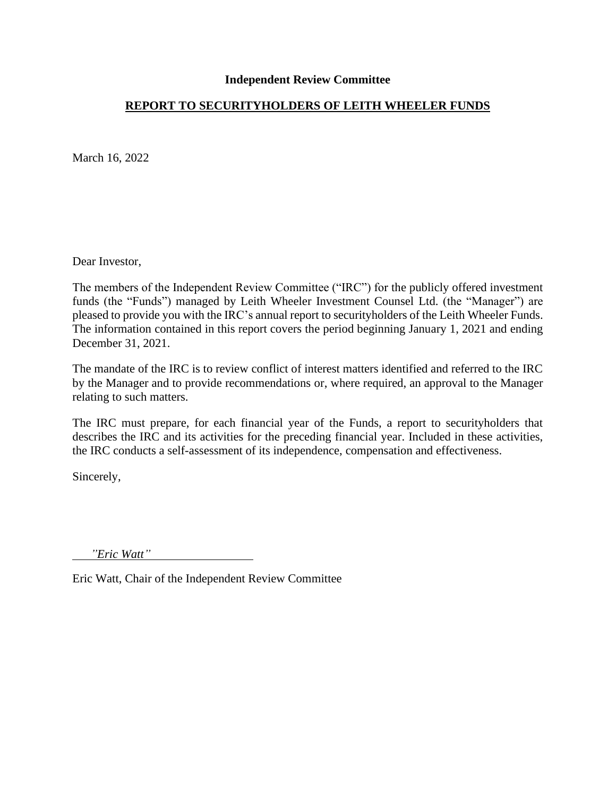# **REPORT TO SECURITYHOLDERS OF LEITH WHEELER FUNDS**

March 16, 2022

Dear Investor,

The members of the Independent Review Committee ("IRC") for the publicly offered investment funds (the "Funds") managed by Leith Wheeler Investment Counsel Ltd. (the "Manager") are pleased to provide you with the IRC's annual report to securityholders of the Leith Wheeler Funds. The information contained in this report covers the period beginning January 1, 2021 and ending December 31, 2021.

The mandate of the IRC is to review conflict of interest matters identified and referred to the IRC by the Manager and to provide recommendations or, where required, an approval to the Manager relating to such matters.

The IRC must prepare, for each financial year of the Funds, a report to securityholders that describes the IRC and its activities for the preceding financial year. Included in these activities, the IRC conducts a self-assessment of its independence, compensation and effectiveness.

Sincerely,

*"Eric Watt"*

Eric Watt, Chair of the Independent Review Committee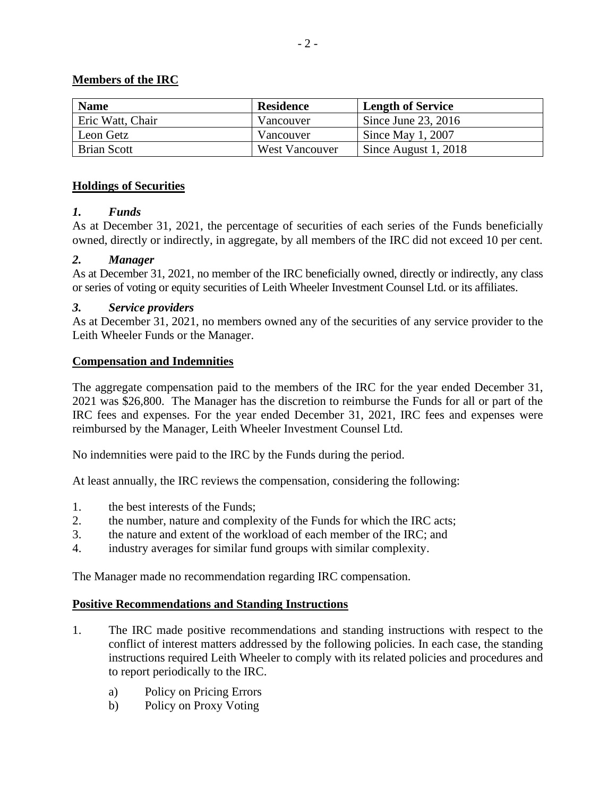# **Members of the IRC**

| <b>Name</b>        | <b>Residence</b> | <b>Length of Service</b> |
|--------------------|------------------|--------------------------|
| Eric Watt, Chair   | Vancouver        | Since June 23, 2016      |
| Leon Getz          | Vancouver        | Since May 1, $2007$      |
| <b>Brian Scott</b> | West Vancouver   | Since August 1, 2018     |

### **Holdings of Securities**

### *1. Funds*

As at December 31, 2021, the percentage of securities of each series of the Funds beneficially owned, directly or indirectly, in aggregate, by all members of the IRC did not exceed 10 per cent.

### *2. Manager*

As at December 31, 2021, no member of the IRC beneficially owned, directly or indirectly, any class or series of voting or equity securities of Leith Wheeler Investment Counsel Ltd. or its affiliates.

### *3. Service providers*

As at December 31, 2021, no members owned any of the securities of any service provider to the Leith Wheeler Funds or the Manager.

### **Compensation and Indemnities**

The aggregate compensation paid to the members of the IRC for the year ended December 31, 2021 was \$26,800. The Manager has the discretion to reimburse the Funds for all or part of the IRC fees and expenses. For the year ended December 31, 2021, IRC fees and expenses were reimbursed by the Manager, Leith Wheeler Investment Counsel Ltd.

No indemnities were paid to the IRC by the Funds during the period.

At least annually, the IRC reviews the compensation, considering the following:

- 1. the best interests of the Funds;
- 2. the number, nature and complexity of the Funds for which the IRC acts;
- 3. the nature and extent of the workload of each member of the IRC; and
- 4. industry averages for similar fund groups with similar complexity.

The Manager made no recommendation regarding IRC compensation.

#### **Positive Recommendations and Standing Instructions**

- 1. The IRC made positive recommendations and standing instructions with respect to the conflict of interest matters addressed by the following policies. In each case, the standing instructions required Leith Wheeler to comply with its related policies and procedures and to report periodically to the IRC.
	- a) Policy on Pricing Errors
	- b) Policy on Proxy Voting